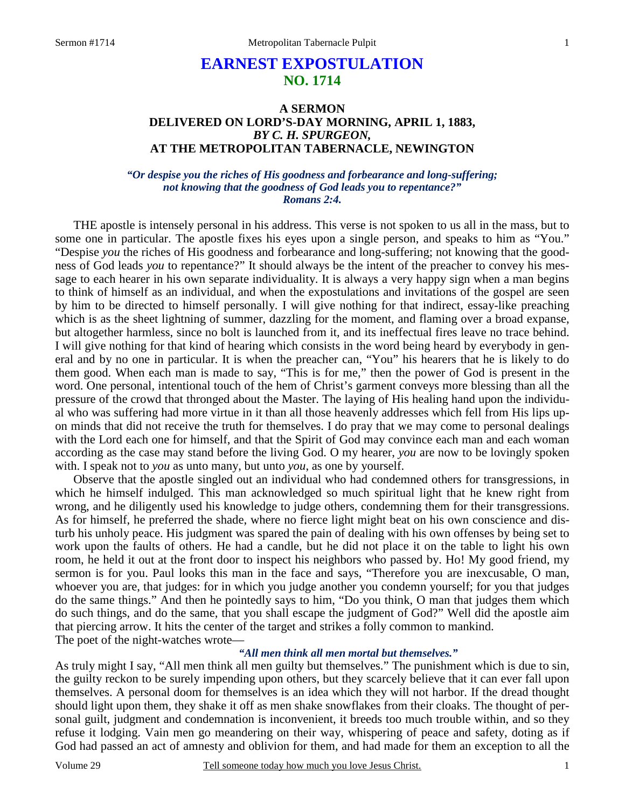# **EARNEST EXPOSTULATION NO. 1714**

## **A SERMON DELIVERED ON LORD'S-DAY MORNING, APRIL 1, 1883,**  *BY C. H. SPURGEON,*  **AT THE METROPOLITAN TABERNACLE, NEWINGTON**

## *"Or despise you the riches of His goodness and forbearance and long-suffering; not knowing that the goodness of God leads you to repentance?" Romans 2:4.*

THE apostle is intensely personal in his address. This verse is not spoken to us all in the mass, but to some one in particular. The apostle fixes his eyes upon a single person, and speaks to him as "You." "Despise *you* the riches of His goodness and forbearance and long-suffering; not knowing that the goodness of God leads *you* to repentance?" It should always be the intent of the preacher to convey his message to each hearer in his own separate individuality. It is always a very happy sign when a man begins to think of himself as an individual, and when the expostulations and invitations of the gospel are seen by him to be directed to himself personally. I will give nothing for that indirect, essay-like preaching which is as the sheet lightning of summer, dazzling for the moment, and flaming over a broad expanse, but altogether harmless, since no bolt is launched from it, and its ineffectual fires leave no trace behind. I will give nothing for that kind of hearing which consists in the word being heard by everybody in general and by no one in particular. It is when the preacher can, "You" his hearers that he is likely to do them good. When each man is made to say, "This is for me," then the power of God is present in the word. One personal, intentional touch of the hem of Christ's garment conveys more blessing than all the pressure of the crowd that thronged about the Master. The laying of His healing hand upon the individual who was suffering had more virtue in it than all those heavenly addresses which fell from His lips upon minds that did not receive the truth for themselves. I do pray that we may come to personal dealings with the Lord each one for himself, and that the Spirit of God may convince each man and each woman according as the case may stand before the living God. O my hearer, *you* are now to be lovingly spoken with. I speak not to *you* as unto many, but unto *you*, as one by yourself.

 Observe that the apostle singled out an individual who had condemned others for transgressions, in which he himself indulged. This man acknowledged so much spiritual light that he knew right from wrong, and he diligently used his knowledge to judge others, condemning them for their transgressions. As for himself, he preferred the shade, where no fierce light might beat on his own conscience and disturb his unholy peace. His judgment was spared the pain of dealing with his own offenses by being set to work upon the faults of others. He had a candle, but he did not place it on the table to light his own room, he held it out at the front door to inspect his neighbors who passed by. Ho! My good friend, my sermon is for you. Paul looks this man in the face and says, "Therefore you are inexcusable, O man, whoever you are, that judges: for in which you judge another you condemn yourself; for you that judges do the same things." And then he pointedly says to him, "Do you think, O man that judges them which do such things, and do the same, that you shall escape the judgment of God?" Well did the apostle aim that piercing arrow. It hits the center of the target and strikes a folly common to mankind. The poet of the night-watches wrote—

## *"All men think all men mortal but themselves."*

As truly might I say, "All men think all men guilty but themselves." The punishment which is due to sin, the guilty reckon to be surely impending upon others, but they scarcely believe that it can ever fall upon themselves. A personal doom for themselves is an idea which they will not harbor. If the dread thought should light upon them, they shake it off as men shake snowflakes from their cloaks. The thought of personal guilt, judgment and condemnation is inconvenient, it breeds too much trouble within, and so they refuse it lodging. Vain men go meandering on their way, whispering of peace and safety, doting as if God had passed an act of amnesty and oblivion for them, and had made for them an exception to all the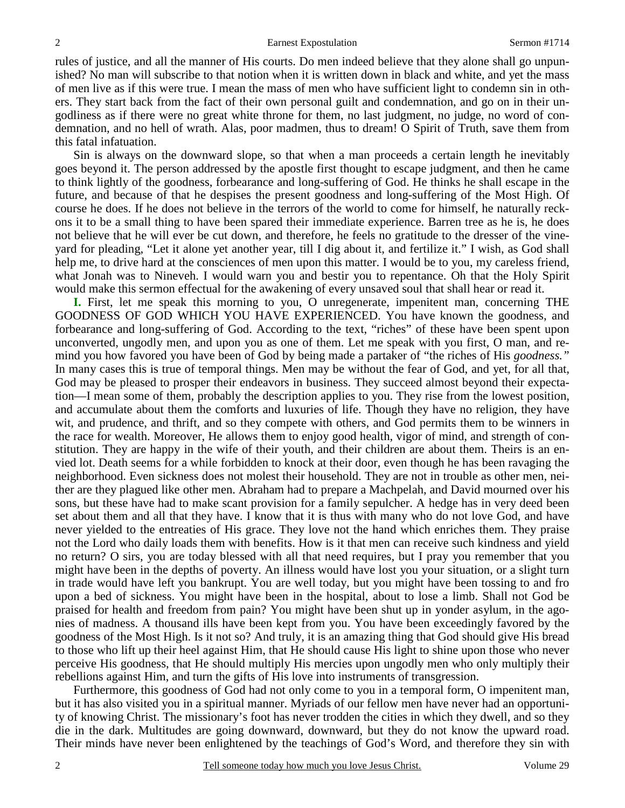rules of justice, and all the manner of His courts. Do men indeed believe that they alone shall go unpunished? No man will subscribe to that notion when it is written down in black and white, and yet the mass of men live as if this were true. I mean the mass of men who have sufficient light to condemn sin in others. They start back from the fact of their own personal guilt and condemnation, and go on in their ungodliness as if there were no great white throne for them, no last judgment, no judge, no word of condemnation, and no hell of wrath. Alas, poor madmen, thus to dream! O Spirit of Truth, save them from this fatal infatuation.

 Sin is always on the downward slope, so that when a man proceeds a certain length he inevitably goes beyond it. The person addressed by the apostle first thought to escape judgment, and then he came to think lightly of the goodness, forbearance and long-suffering of God. He thinks he shall escape in the future, and because of that he despises the present goodness and long-suffering of the Most High. Of course he does. If he does not believe in the terrors of the world to come for himself, he naturally reckons it to be a small thing to have been spared their immediate experience. Barren tree as he is, he does not believe that he will ever be cut down, and therefore, he feels no gratitude to the dresser of the vineyard for pleading, "Let it alone yet another year, till I dig about it, and fertilize it." I wish, as God shall help me, to drive hard at the consciences of men upon this matter. I would be to you, my careless friend, what Jonah was to Nineveh. I would warn you and bestir you to repentance. Oh that the Holy Spirit would make this sermon effectual for the awakening of every unsaved soul that shall hear or read it.

**I.** First, let me speak this morning to you, O unregenerate, impenitent man, concerning THE GOODNESS OF GOD WHICH YOU HAVE EXPERIENCED. You have known the goodness, and forbearance and long-suffering of God. According to the text, "riches" of these have been spent upon unconverted, ungodly men, and upon you as one of them. Let me speak with you first, O man, and remind you how favored you have been of God by being made a partaker of "the riches of His *goodness."* In many cases this is true of temporal things. Men may be without the fear of God, and yet, for all that, God may be pleased to prosper their endeavors in business. They succeed almost beyond their expectation—I mean some of them, probably the description applies to you. They rise from the lowest position, and accumulate about them the comforts and luxuries of life. Though they have no religion, they have wit, and prudence, and thrift, and so they compete with others, and God permits them to be winners in the race for wealth. Moreover, He allows them to enjoy good health, vigor of mind, and strength of constitution. They are happy in the wife of their youth, and their children are about them. Theirs is an envied lot. Death seems for a while forbidden to knock at their door, even though he has been ravaging the neighborhood. Even sickness does not molest their household. They are not in trouble as other men, neither are they plagued like other men. Abraham had to prepare a Machpelah, and David mourned over his sons, but these have had to make scant provision for a family sepulcher. A hedge has in very deed been set about them and all that they have. I know that it is thus with many who do not love God, and have never yielded to the entreaties of His grace. They love not the hand which enriches them. They praise not the Lord who daily loads them with benefits. How is it that men can receive such kindness and yield no return? O sirs, you are today blessed with all that need requires, but I pray you remember that you might have been in the depths of poverty. An illness would have lost you your situation, or a slight turn in trade would have left you bankrupt. You are well today, but you might have been tossing to and fro upon a bed of sickness. You might have been in the hospital, about to lose a limb. Shall not God be praised for health and freedom from pain? You might have been shut up in yonder asylum, in the agonies of madness. A thousand ills have been kept from you. You have been exceedingly favored by the goodness of the Most High. Is it not so? And truly, it is an amazing thing that God should give His bread to those who lift up their heel against Him, that He should cause His light to shine upon those who never perceive His goodness, that He should multiply His mercies upon ungodly men who only multiply their rebellions against Him, and turn the gifts of His love into instruments of transgression.

 Furthermore, this goodness of God had not only come to you in a temporal form, O impenitent man, but it has also visited you in a spiritual manner. Myriads of our fellow men have never had an opportunity of knowing Christ. The missionary's foot has never trodden the cities in which they dwell, and so they die in the dark. Multitudes are going downward, downward, but they do not know the upward road. Their minds have never been enlightened by the teachings of God's Word, and therefore they sin with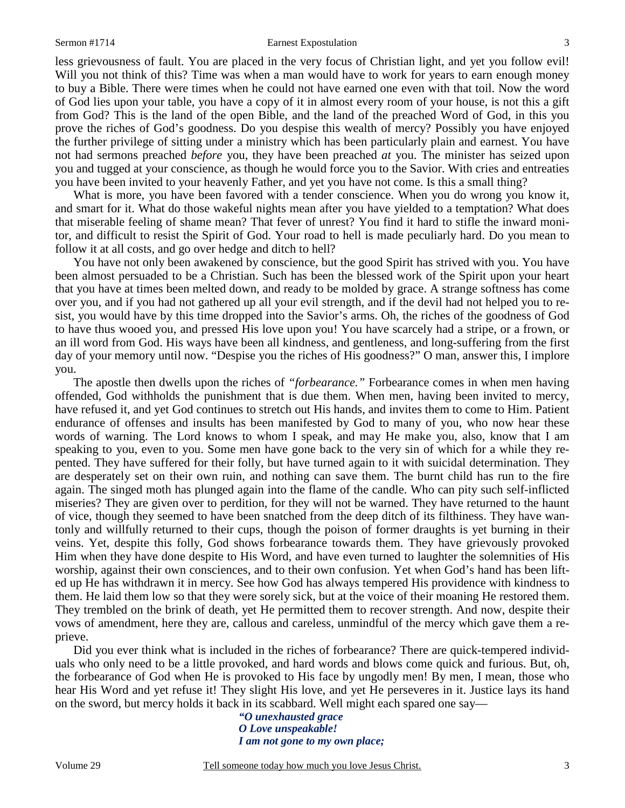#### Sermon #1714 **Earnest Expostulation** 3

less grievousness of fault. You are placed in the very focus of Christian light, and yet you follow evil! Will you not think of this? Time was when a man would have to work for years to earn enough money to buy a Bible. There were times when he could not have earned one even with that toil. Now the word of God lies upon your table, you have a copy of it in almost every room of your house, is not this a gift from God? This is the land of the open Bible, and the land of the preached Word of God, in this you prove the riches of God's goodness. Do you despise this wealth of mercy? Possibly you have enjoyed the further privilege of sitting under a ministry which has been particularly plain and earnest. You have not had sermons preached *before* you, they have been preached *at* you. The minister has seized upon you and tugged at your conscience, as though he would force you to the Savior. With cries and entreaties you have been invited to your heavenly Father, and yet you have not come. Is this a small thing?

What is more, you have been favored with a tender conscience. When you do wrong you know it, and smart for it. What do those wakeful nights mean after you have yielded to a temptation? What does that miserable feeling of shame mean? That fever of unrest? You find it hard to stifle the inward monitor, and difficult to resist the Spirit of God. Your road to hell is made peculiarly hard. Do you mean to follow it at all costs, and go over hedge and ditch to hell?

 You have not only been awakened by conscience, but the good Spirit has strived with you. You have been almost persuaded to be a Christian. Such has been the blessed work of the Spirit upon your heart that you have at times been melted down, and ready to be molded by grace. A strange softness has come over you, and if you had not gathered up all your evil strength, and if the devil had not helped you to resist, you would have by this time dropped into the Savior's arms. Oh, the riches of the goodness of God to have thus wooed you, and pressed His love upon you! You have scarcely had a stripe, or a frown, or an ill word from God. His ways have been all kindness, and gentleness, and long-suffering from the first day of your memory until now. "Despise you the riches of His goodness?" O man, answer this, I implore you.

 The apostle then dwells upon the riches of *"forbearance."* Forbearance comes in when men having offended, God withholds the punishment that is due them. When men, having been invited to mercy, have refused it, and yet God continues to stretch out His hands, and invites them to come to Him. Patient endurance of offenses and insults has been manifested by God to many of you, who now hear these words of warning. The Lord knows to whom I speak, and may He make you, also, know that I am speaking to you, even to you. Some men have gone back to the very sin of which for a while they repented. They have suffered for their folly, but have turned again to it with suicidal determination. They are desperately set on their own ruin, and nothing can save them. The burnt child has run to the fire again. The singed moth has plunged again into the flame of the candle. Who can pity such self-inflicted miseries? They are given over to perdition, for they will not be warned. They have returned to the haunt of vice, though they seemed to have been snatched from the deep ditch of its filthiness. They have wantonly and willfully returned to their cups, though the poison of former draughts is yet burning in their veins. Yet, despite this folly, God shows forbearance towards them. They have grievously provoked Him when they have done despite to His Word, and have even turned to laughter the solemnities of His worship, against their own consciences, and to their own confusion. Yet when God's hand has been lifted up He has withdrawn it in mercy. See how God has always tempered His providence with kindness to them. He laid them low so that they were sorely sick, but at the voice of their moaning He restored them. They trembled on the brink of death, yet He permitted them to recover strength. And now, despite their vows of amendment, here they are, callous and careless, unmindful of the mercy which gave them a reprieve.

 Did you ever think what is included in the riches of forbearance? There are quick-tempered individuals who only need to be a little provoked, and hard words and blows come quick and furious. But, oh, the forbearance of God when He is provoked to His face by ungodly men! By men, I mean, those who hear His Word and yet refuse it! They slight His love, and yet He perseveres in it. Justice lays its hand on the sword, but mercy holds it back in its scabbard. Well might each spared one say—

*"O unexhausted grace O Love unspeakable! I am not gone to my own place;*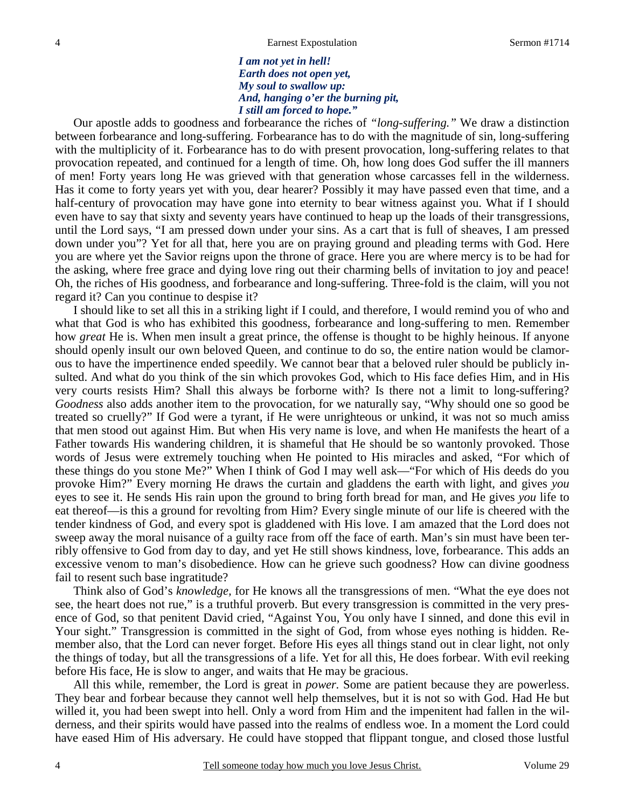*I am not yet in hell! Earth does not open yet, My soul to swallow up: And, hanging o'er the burning pit, I still am forced to hope."* 

 Our apostle adds to goodness and forbearance the riches of *"long-suffering."* We draw a distinction between forbearance and long-suffering. Forbearance has to do with the magnitude of sin, long-suffering with the multiplicity of it. Forbearance has to do with present provocation, long-suffering relates to that provocation repeated, and continued for a length of time. Oh, how long does God suffer the ill manners of men! Forty years long He was grieved with that generation whose carcasses fell in the wilderness. Has it come to forty years yet with you, dear hearer? Possibly it may have passed even that time, and a half-century of provocation may have gone into eternity to bear witness against you. What if I should even have to say that sixty and seventy years have continued to heap up the loads of their transgressions, until the Lord says, "I am pressed down under your sins. As a cart that is full of sheaves, I am pressed down under you"? Yet for all that, here you are on praying ground and pleading terms with God. Here you are where yet the Savior reigns upon the throne of grace. Here you are where mercy is to be had for the asking, where free grace and dying love ring out their charming bells of invitation to joy and peace! Oh, the riches of His goodness, and forbearance and long-suffering. Three-fold is the claim, will you not regard it? Can you continue to despise it?

 I should like to set all this in a striking light if I could, and therefore, I would remind you of who and what that God is who has exhibited this goodness, forbearance and long-suffering to men. Remember how *great* He is. When men insult a great prince, the offense is thought to be highly heinous. If anyone should openly insult our own beloved Queen, and continue to do so, the entire nation would be clamorous to have the impertinence ended speedily. We cannot bear that a beloved ruler should be publicly insulted. And what do you think of the sin which provokes God, which to His face defies Him, and in His very courts resists Him? Shall this always be forborne with? Is there not a limit to long-suffering? *Goodness* also adds another item to the provocation, for we naturally say, "Why should one so good be treated so cruelly?" If God were a tyrant, if He were unrighteous or unkind, it was not so much amiss that men stood out against Him. But when His very name is love, and when He manifests the heart of a Father towards His wandering children, it is shameful that He should be so wantonly provoked. Those words of Jesus were extremely touching when He pointed to His miracles and asked, "For which of these things do you stone Me?" When I think of God I may well ask—"For which of His deeds do you provoke Him?" Every morning He draws the curtain and gladdens the earth with light, and gives *you* eyes to see it. He sends His rain upon the ground to bring forth bread for man, and He gives *you* life to eat thereof—is this a ground for revolting from Him? Every single minute of our life is cheered with the tender kindness of God, and every spot is gladdened with His love. I am amazed that the Lord does not sweep away the moral nuisance of a guilty race from off the face of earth. Man's sin must have been terribly offensive to God from day to day, and yet He still shows kindness, love, forbearance. This adds an excessive venom to man's disobedience. How can he grieve such goodness? How can divine goodness fail to resent such base ingratitude?

 Think also of God's *knowledge,* for He knows all the transgressions of men. "What the eye does not see, the heart does not rue," is a truthful proverb. But every transgression is committed in the very presence of God, so that penitent David cried, "Against You, You only have I sinned, and done this evil in Your sight." Transgression is committed in the sight of God, from whose eyes nothing is hidden. Remember also, that the Lord can never forget. Before His eyes all things stand out in clear light, not only the things of today, but all the transgressions of a life. Yet for all this, He does forbear. With evil reeking before His face, He is slow to anger, and waits that He may be gracious.

 All this while, remember, the Lord is great in *power.* Some are patient because they are powerless. They bear and forbear because they cannot well help themselves, but it is not so with God. Had He but willed it, you had been swept into hell. Only a word from Him and the impenitent had fallen in the wilderness, and their spirits would have passed into the realms of endless woe. In a moment the Lord could have eased Him of His adversary. He could have stopped that flippant tongue, and closed those lustful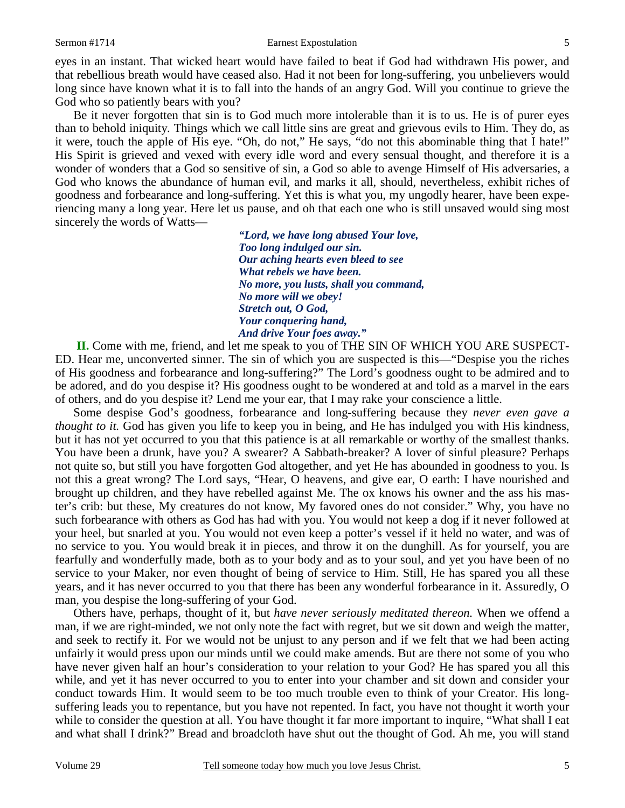#### Sermon #1714 **Earnest Expostulation** 5

eyes in an instant. That wicked heart would have failed to beat if God had withdrawn His power, and that rebellious breath would have ceased also. Had it not been for long-suffering, you unbelievers would long since have known what it is to fall into the hands of an angry God. Will you continue to grieve the God who so patiently bears with you?

 Be it never forgotten that sin is to God much more intolerable than it is to us. He is of purer eyes than to behold iniquity. Things which we call little sins are great and grievous evils to Him. They do, as it were, touch the apple of His eye. "Oh, do not," He says, "do not this abominable thing that I hate!" His Spirit is grieved and vexed with every idle word and every sensual thought, and therefore it is a wonder of wonders that a God so sensitive of sin, a God so able to avenge Himself of His adversaries, a God who knows the abundance of human evil, and marks it all, should, nevertheless, exhibit riches of goodness and forbearance and long-suffering. Yet this is what you, my ungodly hearer, have been experiencing many a long year. Here let us pause, and oh that each one who is still unsaved would sing most sincerely the words of Watts—

> *"Lord, we have long abused Your love, Too long indulged our sin. Our aching hearts even bleed to see What rebels we have been. No more, you lusts, shall you command, No more will we obey! Stretch out, O God, Your conquering hand, And drive Your foes away."*

**II.** Come with me, friend, and let me speak to you of THE SIN OF WHICH YOU ARE SUSPECT-ED. Hear me, unconverted sinner. The sin of which you are suspected is this—"Despise you the riches of His goodness and forbearance and long-suffering?" The Lord's goodness ought to be admired and to be adored, and do you despise it? His goodness ought to be wondered at and told as a marvel in the ears of others, and do you despise it? Lend me your ear, that I may rake your conscience a little.

 Some despise God's goodness, forbearance and long-suffering because they *never even gave a thought to it.* God has given you life to keep you in being, and He has indulged you with His kindness, but it has not yet occurred to you that this patience is at all remarkable or worthy of the smallest thanks. You have been a drunk, have you? A swearer? A Sabbath-breaker? A lover of sinful pleasure? Perhaps not quite so, but still you have forgotten God altogether, and yet He has abounded in goodness to you. Is not this a great wrong? The Lord says, "Hear, O heavens, and give ear, O earth: I have nourished and brought up children, and they have rebelled against Me. The ox knows his owner and the ass his master's crib: but these, My creatures do not know, My favored ones do not consider." Why, you have no such forbearance with others as God has had with you. You would not keep a dog if it never followed at your heel, but snarled at you. You would not even keep a potter's vessel if it held no water, and was of no service to you. You would break it in pieces, and throw it on the dunghill. As for yourself, you are fearfully and wonderfully made, both as to your body and as to your soul, and yet you have been of no service to your Maker, nor even thought of being of service to Him. Still, He has spared you all these years, and it has never occurred to you that there has been any wonderful forbearance in it. Assuredly, O man, you despise the long-suffering of your God.

 Others have, perhaps, thought of it, but *have never seriously meditated thereon.* When we offend a man, if we are right-minded, we not only note the fact with regret, but we sit down and weigh the matter, and seek to rectify it. For we would not be unjust to any person and if we felt that we had been acting unfairly it would press upon our minds until we could make amends. But are there not some of you who have never given half an hour's consideration to your relation to your God? He has spared you all this while, and yet it has never occurred to you to enter into your chamber and sit down and consider your conduct towards Him. It would seem to be too much trouble even to think of your Creator. His longsuffering leads you to repentance, but you have not repented. In fact, you have not thought it worth your while to consider the question at all. You have thought it far more important to inquire, "What shall I eat and what shall I drink?" Bread and broadcloth have shut out the thought of God. Ah me, you will stand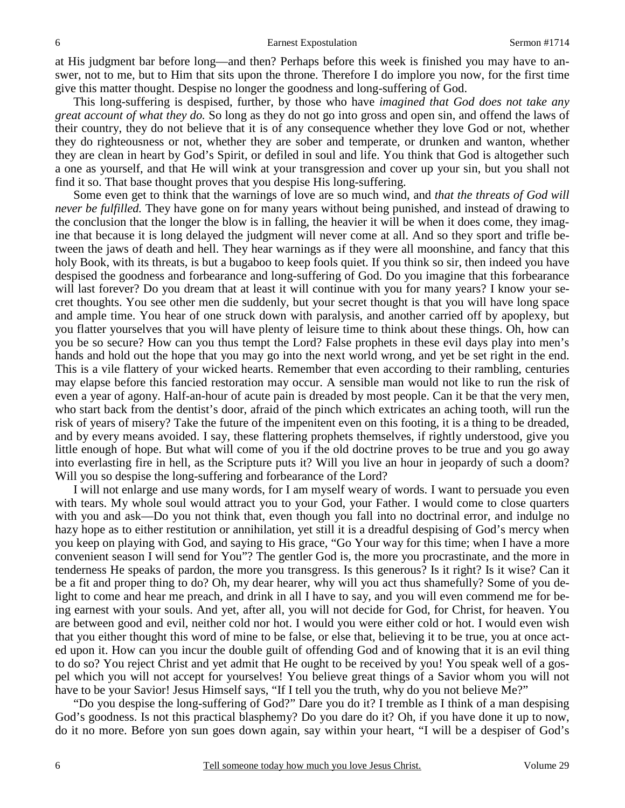at His judgment bar before long—and then? Perhaps before this week is finished you may have to answer, not to me, but to Him that sits upon the throne. Therefore I do implore you now, for the first time give this matter thought. Despise no longer the goodness and long-suffering of God.

 This long-suffering is despised, further, by those who have *imagined that God does not take any great account of what they do.* So long as they do not go into gross and open sin, and offend the laws of their country, they do not believe that it is of any consequence whether they love God or not, whether they do righteousness or not, whether they are sober and temperate, or drunken and wanton, whether they are clean in heart by God's Spirit, or defiled in soul and life. You think that God is altogether such a one as yourself, and that He will wink at your transgression and cover up your sin, but you shall not find it so. That base thought proves that you despise His long-suffering.

 Some even get to think that the warnings of love are so much wind, and *that the threats of God will never be fulfilled.* They have gone on for many years without being punished, and instead of drawing to the conclusion that the longer the blow is in falling, the heavier it will be when it does come, they imagine that because it is long delayed the judgment will never come at all. And so they sport and trifle between the jaws of death and hell. They hear warnings as if they were all moonshine, and fancy that this holy Book, with its threats, is but a bugaboo to keep fools quiet. If you think so sir, then indeed you have despised the goodness and forbearance and long-suffering of God. Do you imagine that this forbearance will last forever? Do you dream that at least it will continue with you for many years? I know your secret thoughts. You see other men die suddenly, but your secret thought is that you will have long space and ample time. You hear of one struck down with paralysis, and another carried off by apoplexy, but you flatter yourselves that you will have plenty of leisure time to think about these things. Oh, how can you be so secure? How can you thus tempt the Lord? False prophets in these evil days play into men's hands and hold out the hope that you may go into the next world wrong, and yet be set right in the end. This is a vile flattery of your wicked hearts. Remember that even according to their rambling, centuries may elapse before this fancied restoration may occur. A sensible man would not like to run the risk of even a year of agony. Half-an-hour of acute pain is dreaded by most people. Can it be that the very men, who start back from the dentist's door, afraid of the pinch which extricates an aching tooth, will run the risk of years of misery? Take the future of the impenitent even on this footing, it is a thing to be dreaded, and by every means avoided. I say, these flattering prophets themselves, if rightly understood, give you little enough of hope. But what will come of you if the old doctrine proves to be true and you go away into everlasting fire in hell, as the Scripture puts it? Will you live an hour in jeopardy of such a doom? Will you so despise the long-suffering and forbearance of the Lord?

 I will not enlarge and use many words, for I am myself weary of words. I want to persuade you even with tears. My whole soul would attract you to your God, your Father. I would come to close quarters with you and ask—Do you not think that, even though you fall into no doctrinal error, and indulge no hazy hope as to either restitution or annihilation, yet still it is a dreadful despising of God's mercy when you keep on playing with God, and saying to His grace, "Go Your way for this time; when I have a more convenient season I will send for You"? The gentler God is, the more you procrastinate, and the more in tenderness He speaks of pardon, the more you transgress. Is this generous? Is it right? Is it wise? Can it be a fit and proper thing to do? Oh, my dear hearer, why will you act thus shamefully? Some of you delight to come and hear me preach, and drink in all I have to say, and you will even commend me for being earnest with your souls. And yet, after all, you will not decide for God, for Christ, for heaven. You are between good and evil, neither cold nor hot. I would you were either cold or hot. I would even wish that you either thought this word of mine to be false, or else that, believing it to be true, you at once acted upon it. How can you incur the double guilt of offending God and of knowing that it is an evil thing to do so? You reject Christ and yet admit that He ought to be received by you! You speak well of a gospel which you will not accept for yourselves! You believe great things of a Savior whom you will not have to be your Savior! Jesus Himself says, "If I tell you the truth, why do you not believe Me?"

 "Do you despise the long-suffering of God?" Dare you do it? I tremble as I think of a man despising God's goodness. Is not this practical blasphemy? Do you dare do it? Oh, if you have done it up to now, do it no more. Before yon sun goes down again, say within your heart, "I will be a despiser of God's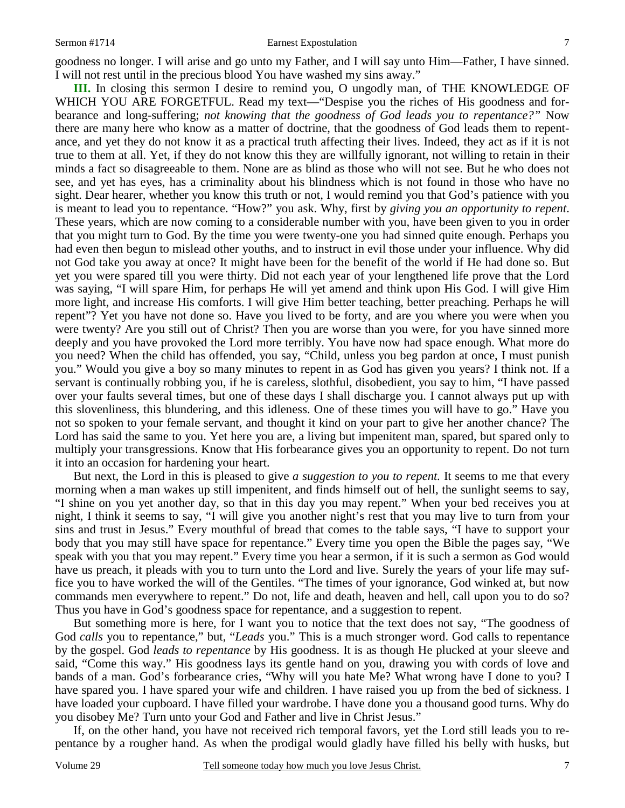### Sermon #1714 **Earnest Expostulation** 7

goodness no longer. I will arise and go unto my Father, and I will say unto Him—Father, I have sinned. I will not rest until in the precious blood You have washed my sins away."

**III.** In closing this sermon I desire to remind you, O ungodly man, of THE KNOWLEDGE OF WHICH YOU ARE FORGETFUL. Read my text—"Despise you the riches of His goodness and forbearance and long-suffering; *not knowing that the goodness of God leads you to repentance?"* Now there are many here who know as a matter of doctrine, that the goodness of God leads them to repentance, and yet they do not know it as a practical truth affecting their lives. Indeed, they act as if it is not true to them at all. Yet, if they do not know this they are willfully ignorant, not willing to retain in their minds a fact so disagreeable to them. None are as blind as those who will not see. But he who does not see, and yet has eyes, has a criminality about his blindness which is not found in those who have no sight. Dear hearer, whether you know this truth or not, I would remind you that God's patience with you is meant to lead you to repentance. "How?" you ask. Why, first by *giving you an opportunity to repent*. These years, which are now coming to a considerable number with you, have been given to you in order that you might turn to God. By the time you were twenty-one you had sinned quite enough. Perhaps you had even then begun to mislead other youths, and to instruct in evil those under your influence. Why did not God take you away at once? It might have been for the benefit of the world if He had done so. But yet you were spared till you were thirty. Did not each year of your lengthened life prove that the Lord was saying, "I will spare Him, for perhaps He will yet amend and think upon His God. I will give Him more light, and increase His comforts. I will give Him better teaching, better preaching. Perhaps he will repent"? Yet you have not done so. Have you lived to be forty, and are you where you were when you were twenty? Are you still out of Christ? Then you are worse than you were, for you have sinned more deeply and you have provoked the Lord more terribly. You have now had space enough. What more do you need? When the child has offended, you say, "Child, unless you beg pardon at once, I must punish you." Would you give a boy so many minutes to repent in as God has given you years? I think not. If a servant is continually robbing you, if he is careless, slothful, disobedient, you say to him, "I have passed over your faults several times, but one of these days I shall discharge you. I cannot always put up with this slovenliness, this blundering, and this idleness. One of these times you will have to go." Have you not so spoken to your female servant, and thought it kind on your part to give her another chance? The Lord has said the same to you. Yet here you are, a living but impenitent man, spared, but spared only to multiply your transgressions. Know that His forbearance gives you an opportunity to repent. Do not turn it into an occasion for hardening your heart.

 But next, the Lord in this is pleased to give *a suggestion to you to repent.* It seems to me that every morning when a man wakes up still impenitent, and finds himself out of hell, the sunlight seems to say, "I shine on you yet another day, so that in this day you may repent." When your bed receives you at night, I think it seems to say, "I will give you another night's rest that you may live to turn from your sins and trust in Jesus." Every mouthful of bread that comes to the table says, "I have to support your body that you may still have space for repentance." Every time you open the Bible the pages say, "We speak with you that you may repent." Every time you hear a sermon, if it is such a sermon as God would have us preach, it pleads with you to turn unto the Lord and live. Surely the years of your life may suffice you to have worked the will of the Gentiles. "The times of your ignorance, God winked at, but now commands men everywhere to repent." Do not, life and death, heaven and hell, call upon you to do so? Thus you have in God's goodness space for repentance, and a suggestion to repent.

 But something more is here, for I want you to notice that the text does not say, "The goodness of God *calls* you to repentance," but, "*Leads* you." This is a much stronger word. God calls to repentance by the gospel. God *leads to repentance* by His goodness. It is as though He plucked at your sleeve and said, "Come this way." His goodness lays its gentle hand on you, drawing you with cords of love and bands of a man. God's forbearance cries, "Why will you hate Me? What wrong have I done to you? I have spared you. I have spared your wife and children. I have raised you up from the bed of sickness. I have loaded your cupboard. I have filled your wardrobe. I have done you a thousand good turns. Why do you disobey Me? Turn unto your God and Father and live in Christ Jesus."

 If, on the other hand, you have not received rich temporal favors, yet the Lord still leads you to repentance by a rougher hand. As when the prodigal would gladly have filled his belly with husks, but